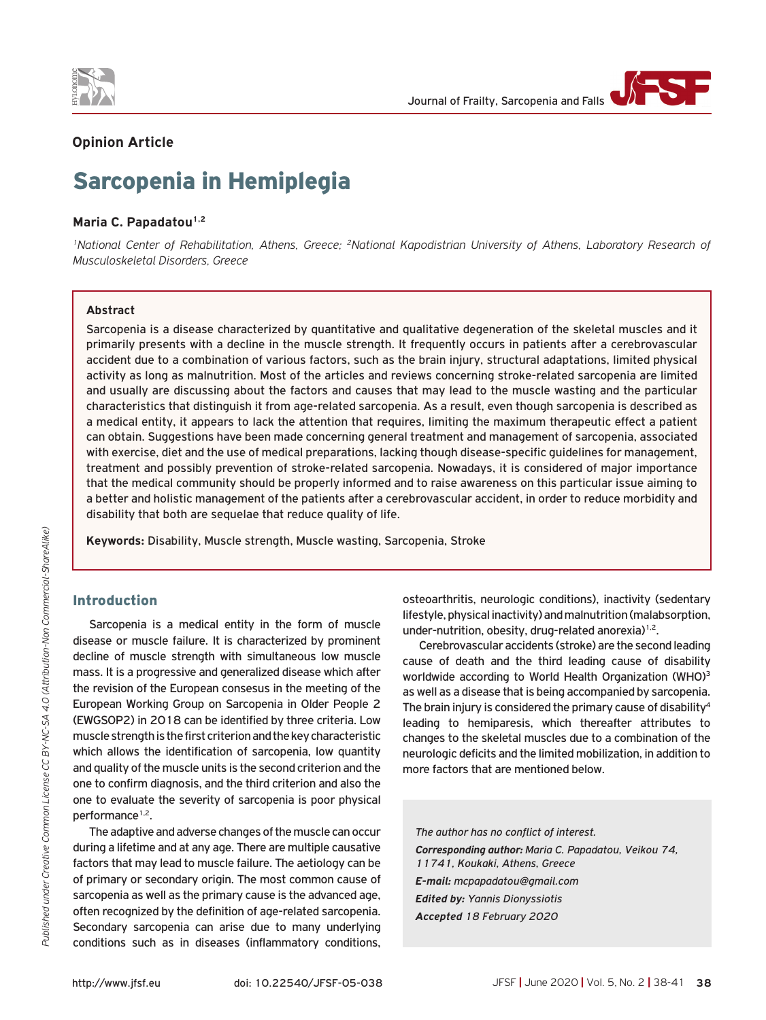



# **Opinion Article**

# Sarcopenia in Hemiplegia

#### Maria C. Papadatou<sup>1,2</sup>

<sup>1</sup>National Center of Rehabilitation, Athens, Greece; <sup>2</sup>National Kapodistrian University of Athens, Laboratory Research of *Musculoskeletal Disorders, Greece*

# **Abstract**

Sarcopenia is a disease characterized by quantitative and qualitative degeneration of the skeletal muscles and it primarily presents with a decline in the muscle strength. It frequently occurs in patients after a cerebrovascular accident due to a combination of various factors, such as the brain injury, structural adaptations, limited physical activity as long as malnutrition. Most of the articles and reviews concerning stroke-related sarcopenia are limited and usually are discussing about the factors and causes that may lead to the muscle wasting and the particular characteristics that distinguish it from age-related sarcopenia. As a result, even though sarcopenia is described as a medical entity, it appears to lack the attention that requires, limiting the maximum therapeutic effect a patient can obtain. Suggestions have been made concerning general treatment and management of sarcopenia, associated with exercise, diet and the use of medical preparations, lacking though disease-specific guidelines for management, treatment and possibly prevention of stroke-related sarcopenia. Nowadays, it is considered of major importance that the medical community should be properly informed and to raise awareness on this particular issue aiming to a better and holistic management of the patients after a cerebrovascular accident, in order to reduce morbidity and disability that both are sequelae that reduce quality of life.

**Keywords:** Disability, Muscle strength, Muscle wasting, Sarcopenia, Stroke

# Introduction

Sarcopenia is a medical entity in the form of muscle disease or muscle failure. It is characterized by prominent decline of muscle strength with simultaneous low muscle mass. It is a progressive and generalized disease which after the revision of the European consesus in the meeting of the European Working Group on Sarcopenia in Older People 2 (EWGSOP2) in 2018 can be identified by three criteria. Low muscle strength is the first criterion and the key characteristic which allows the identification of sarcopenia, low quantity and quality of the muscle units is the second criterion and the one to confirm diagnosis, and the third criterion and also the one to evaluate the severity of sarcopenia is poor physical performance<sup>1,2</sup>.

The adaptive and adverse changes of the muscle can occur during a lifetime and at any age. There are multiple causative factors that may lead to muscle failure. The aetiology can be of primary or secondary origin. The most common cause of sarcopenia as well as the primary cause is the advanced age, often recognized by the definition of age-related sarcopenia. Secondary sarcopenia can arise due to many underlying conditions such as in diseases (inflammatory conditions,

osteoarthritis, neurologic conditions), inactivity (sedentary lifestyle, physical inactivity) and malnutrition (malabsorption, under-nutrition, obesity, drug-related anorexia)<sup>1,2</sup>.

Cerebrovascular accidents (stroke) are the second leading cause of death and the third leading cause of disability worldwide according to World Health Organization (WHO)<sup>3</sup> as well as a disease that is being accompanied by sarcopenia. The brain injury is considered the primary cause of disability<sup>4</sup> leading to hemiparesis, which thereafter attributes to changes to the skeletal muscles due to a combination of the neurologic deficits and the limited mobilization, in addition to more factors that are mentioned below.

*The author has no conflict of interest. Corresponding author: Maria C. Papadatou, Veikou 74, 11741, Koukaki, Athens, Greece E-mail: mcpapadatou@gmail.com Edited by: Yannis Dionyssiotis Accepted 18 February 2020*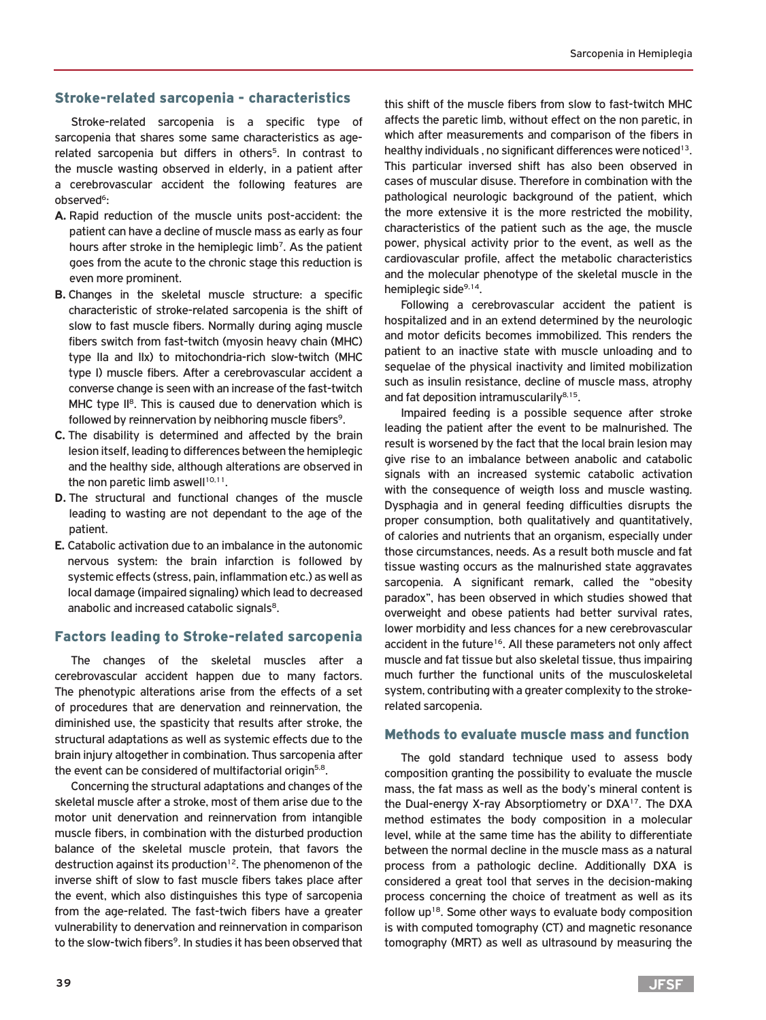# Stroke-related sarcopenia - characteristics

Stroke-related sarcopenia is a specific type of sarcopenia that shares some same characteristics as agerelated sarcopenia but differs in others<sup>5</sup>. In contrast to the muscle wasting observed in elderly, in a patient after a cerebrovascular accident the following features are observed<sup>6</sup>:

- **A.** Rapid reduction of the muscle units post-accident: the patient can have a decline of muscle mass as early as four hours after stroke in the hemiplegic limb<sup>7</sup>. As the patient goes from the acute to the chronic stage this reduction is even more prominent.
- **B.** Changes in the skeletal muscle structure: a specific characteristic of stroke-related sarcopenia is the shift of slow to fast muscle fibers. Normally during aging muscle fibers switch from fast-twitch (myosin heavy chain (MHC) type IIa and IIx) to mitochondria-rich slow-twitch (MHC type I) muscle fibers. After a cerebrovascular accident a converse change is seen with an increase of the fast-twitch MHC type II<sup>8</sup>. This is caused due to denervation which is followed by reinnervation by neibhoring muscle fibers<sup>9</sup>.
- **C.** The disability is determined and affected by the brain lesion itself, leading to differences between the hemiplegic and the healthy side, although alterations are observed in the non paretic limb aswell $10,11$ .
- **D.** The structural and functional changes of the muscle leading to wasting are not dependant to the age of the patient.
- **E.** Catabolic activation due to an imbalance in the autonomic nervous system: the brain infarction is followed by systemic effects (stress, pain, inflammation etc.) as well as local damage (impaired signaling) which lead to decreased anabolic and increased catabolic signals<sup>8</sup>.

#### Factors leading to Stroke-related sarcopenia

The changes of the skeletal muscles after a cerebrovascular accident happen due to many factors. The phenotypic alterations arise from the effects of a set of procedures that are denervation and reinnervation, the diminished use, the spasticity that results after stroke, the structural adaptations as well as systemic effects due to the brain injury altogether in combination. Thus sarcopenia after the event can be considered of multifactorial origin<sup>5,8</sup>.

Concerning the structural adaptations and changes of the skeletal muscle after a stroke, most of them arise due to the motor unit denervation and reinnervation from intangible muscle fibers, in combination with the disturbed production balance of the skeletal muscle protein, that favors the destruction against its production<sup>12</sup>. The phenomenon of the inverse shift of slow to fast muscle fibers takes place after the event, which also distinguishes this type of sarcopenia from the age-related. The fast-twich fibers have a greater vulnerability to denervation and reinnervation in comparison to the slow-twich fibers<sup>9</sup>. In studies it has been observed that

this shift of the muscle fibers from slow to fast-twitch MHC affects the paretic limb, without effect on the non paretic, in which after measurements and comparison of the fibers in healthy individuals, no significant differences were noticed<sup>13</sup>. This particular inversed shift has also been observed in cases of muscular disuse. Therefore in combination with the pathological neurologic background of the patient, which the more extensive it is the more restricted the mobility, characteristics of the patient such as the age, the muscle power, physical activity prior to the event, as well as the cardiovascular profile, affect the metabolic characteristics and the molecular phenotype of the skeletal muscle in the hemiplegic side<sup>9,14</sup>.

Following a cerebrovascular accident the patient is hospitalized and in an extend determined by the neurologic and motor deficits becomes immobilized. This renders the patient to an inactive state with muscle unloading and to sequelae of the physical inactivity and limited mobilization such as insulin resistance, decline of muscle mass, atrophy and fat deposition intramuscularily $8,15$ .

Impaired feeding is a possible sequence after stroke leading the patient after the event to be malnurished. The result is worsened by the fact that the local brain lesion may give rise to an imbalance between anabolic and catabolic signals with an increased systemic catabolic activation with the consequence of weigth loss and muscle wasting. Dysphagia and in general feeding difficulties disrupts the proper consumption, both qualitatively and quantitatively, of calories and nutrients that an organism, especially under those circumstances, needs. As a result both muscle and fat tissue wasting occurs as the malnurished state aggravates sarcopenia. A significant remark, called the "obesity paradox", has been observed in which studies showed that overweight and obese patients had better survival rates, lower morbidity and less chances for a new cerebrovascular accident in the future<sup>16</sup>. All these parameters not only affect muscle and fat tissue but also skeletal tissue, thus impairing much further the functional units of the musculoskeletal system, contributing with a greater complexity to the strokerelated sarcopenia.

#### Methods to evaluate muscle mass and function

The gold standard technique used to assess body composition granting the possibility to evaluate the muscle mass, the fat mass as well as the body's mineral content is the Dual-energy X-ray Absorptiometry or DXA<sup>17</sup>. The DXA method estimates the body composition in a molecular level, while at the same time has the ability to differentiate between the normal decline in the muscle mass as a natural process from a pathologic decline. Additionally DXA is considered a great tool that serves in the decision-making process concerning the choice of treatment as well as its follow up18. Some other ways to evaluate body composition is with computed tomography (CT) and magnetic resonance tomography (MRT) as well as ultrasound by measuring the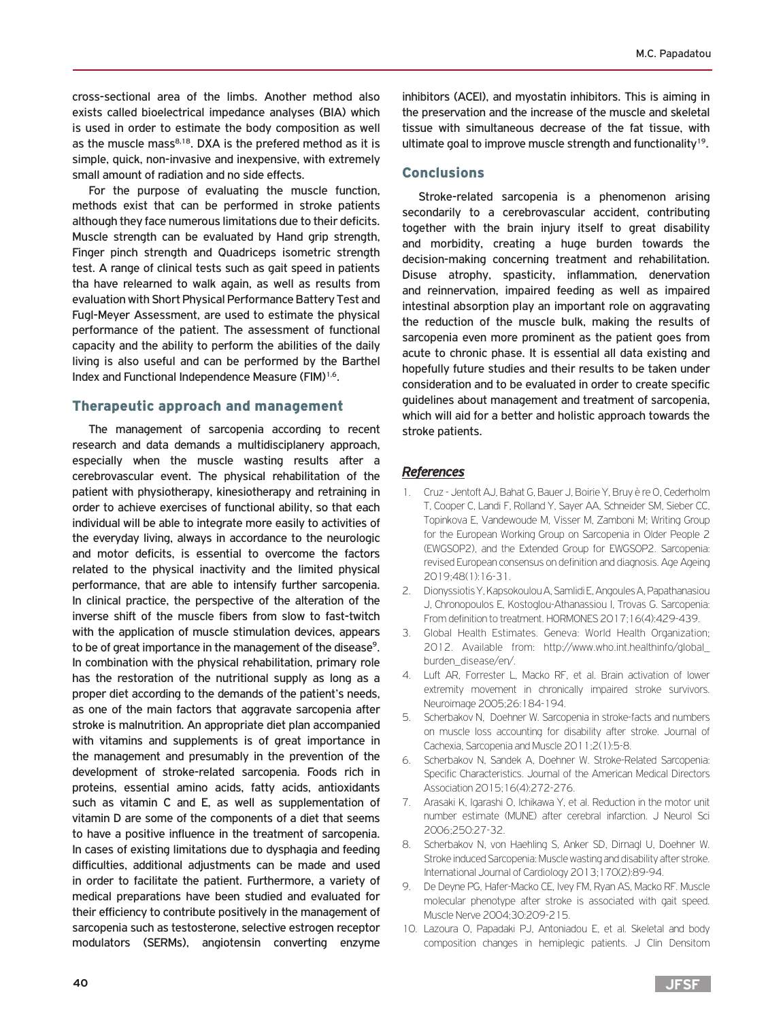cross-sectional area of the limbs. Another method also exists called bioelectrical impedance analyses (BIA) which is used in order to estimate the body composition as well as the muscle mass $8,18$ . DXA is the prefered method as it is simple, quick, non-invasive and inexpensive, with extremely small amount of radiation and no side effects.

For the purpose of evaluating the muscle function, methods exist that can be performed in stroke patients although they face numerous limitations due to their deficits. Muscle strength can be evaluated by Hand grip strength, Finger pinch strength and Quadriceps isometric strength test. A range of clinical tests such as gait speed in patients tha have relearned to walk again, as well as results from evaluation with Short Physical Performance Battery Test and Fugl-Meyer Assessment, are used to estimate the physical performance of the patient. The assessment of functional capacity and the ability to perform the abilities of the daily living is also useful and can be performed by the Barthel Index and Functional Independence Measure (FIM)<sup>1,6</sup>.

#### Therapeutic approach and management

The management of sarcopenia according to recent research and data demands a multidisciplanery approach, especially when the muscle wasting results after a cerebrovascular event. The physical rehabilitation of the patient with physiotherapy, kinesiotherapy and retraining in order to achieve exercises of functional ability, so that each individual will be able to integrate more easily to activities of the everyday living, always in accordance to the neurologic and motor deficits, is essential to overcome the factors related to the physical inactivity and the limited physical performance, that are able to intensify further sarcopenia. In clinical practice, the perspective of the alteration of the inverse shift of the muscle fibers from slow to fast-twitch with the application of muscle stimulation devices, appears to be of great importance in the management of the disease<sup>9</sup>. In combination with the physical rehabilitation, primary role has the restoration of the nutritional supply as long as a proper diet according to the demands of the patient's needs, as one of the main factors that aggravate sarcopenia after stroke is malnutrition. An appropriate diet plan accompanied with vitamins and supplements is of great importance in the management and presumably in the prevention of the development of stroke-related sarcopenia. Foods rich in proteins, essential amino acids, fatty acids, antioxidants such as vitamin C and E, as well as supplementation of vitamin D are some of the components of a diet that seems to have a positive influence in the treatment of sarcopenia. In cases of existing limitations due to dysphagia and feeding difficulties, additional adjustments can be made and used in order to facilitate the patient. Furthermore, a variety of medical preparations have been studied and evaluated for their efficiency to contribute positively in the management of sarcopenia such as testosterone, selective estrogen receptor modulators (SERMs), angiotensin converting enzyme

inhibitors (ACEI), and myostatin inhibitors. This is aiming in the preservation and the increase of the muscle and skeletal tissue with simultaneous decrease of the fat tissue, with ultimate goal to improve muscle strength and functionality<sup>19</sup>.

# Conclusions

Stroke-related sarcopenia is a phenomenon arising secondarily to a cerebrovascular accident, contributing together with the brain injury itself to great disability and morbidity, creating a huge burden towards the decision-making concerning treatment and rehabilitation. Disuse atrophy, spasticity, inflammation, denervation and reinnervation, impaired feeding as well as impaired intestinal absorption play an important role on aggravating the reduction of the muscle bulk, making the results of sarcopenia even more prominent as the patient goes from acute to chronic phase. It is essential all data existing and hopefully future studies and their results to be taken under consideration and to be evaluated in order to create specific guidelines about management and treatment of sarcopenia, which will aid for a better and holistic approach towards the stroke patients.

# *References*

- 1. Cruz Jentoft AJ, Bahat G, Bauer J, Boirie Y, Bruy è re O, Cederholm T, Cooper C, Landi F, Rolland Y, Sayer AA, Schneider SM, Sieber CC, Topinkova E, Vandewoude M, Visser M, Zamboni M; Writing Group for the European Working Group on Sarcopenia in Older People 2 (EWGSOP2), and the Extended Group for EWGSOP2. Sarcopenia: revised European consensus on definition and diagnosis. Age Ageing 2019;48(1):16-31.
- 2. Dionyssiotis Y, Kapsokoulou A, Samlidi E, Angoules A, Papathanasiou J, Chronopoulos E, Kostoglou-Athanassiou I, Trovas G. Sarcopenia: From definition to treatment. HORMONES 2017;16(4):429-439.
- 3. Global Health Estimates. Geneva: World Health Organization; 2012. Available from: http://www.who.int.healthinfo/global\_ burden\_disease/en/.
- 4. Luft AR, Forrester L, Macko RF, et al. Brain activation of lower extremity movement in chronically impaired stroke survivors. Neuroimage 2005;26:184-194.
- 5. Scherbakov N, Doehner W. Sarcopenia in stroke-facts and numbers on muscle loss accounting for disability after stroke. Journal of Cachexia, Sarcopenia and Muscle 2011;2(1):5-8.
- 6. Scherbakov N, Sandek A, Doehner W. Stroke-Related Sarcopenia: Specific Characteristics. Journal of the American Medical Directors Association 2015;16(4):272-276.
- 7. Arasaki K, Igarashi O, Ichikawa Y, et al. Reduction in the motor unit number estimate (MUNE) after cerebral infarction. J Neurol Sci 2006;250:27-32.
- 8. Scherbakov N, von Haehling S, Anker SD, Dirnagl U, Doehner W. Stroke induced Sarcopenia: Muscle wasting and disability after stroke. International Journal of Cardiology 2013;170(2):89-94.
- 9. De Deyne PG, Hafer-Macko CE, Ivey FM, Ryan AS, Macko RF. Muscle molecular phenotype after stroke is associated with gait speed. Muscle Nerve 2004;30:209-215.
- 10. Lazoura O, Papadaki PJ, Antoniadou E, et al. Skeletal and body composition changes in hemiplegic patients. J Clin Densitom